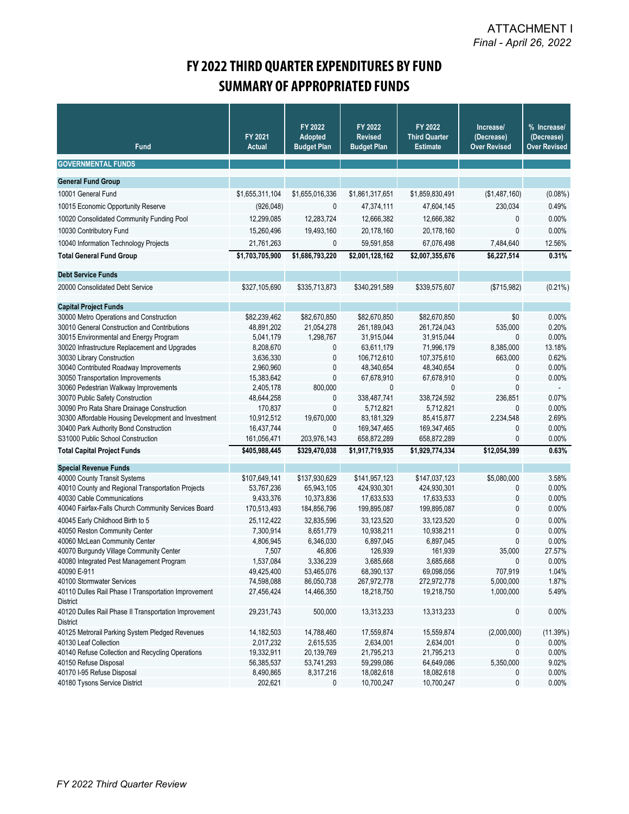## **FY 2022 THIRD QUARTER EXPENDITURES BY FUND SUMMARY OF APPROPRIATED FUNDS**

| <b>Fund</b>                                                                 | FY 2021<br><b>Actual</b>  | FY 2022<br><b>Adopted</b><br><b>Budget Plan</b> | FY 2022<br><b>Revised</b><br><b>Budget Plan</b> | FY 2022<br><b>Third Quarter</b><br><b>Estimate</b> | Increase/<br>(Decrease)<br><b>Over Revised</b> | % Increase/<br>(Decrease)<br><b>Over Revised</b> |
|-----------------------------------------------------------------------------|---------------------------|-------------------------------------------------|-------------------------------------------------|----------------------------------------------------|------------------------------------------------|--------------------------------------------------|
| <b>GOVERNMENTAL FUNDS</b>                                                   |                           |                                                 |                                                 |                                                    |                                                |                                                  |
| <b>General Fund Group</b>                                                   |                           |                                                 |                                                 |                                                    |                                                |                                                  |
| 10001 General Fund                                                          | \$1,655,311,104           | \$1,655,016,336                                 | \$1,861,317,651                                 | \$1,859,830,491                                    | (\$1,487,160)                                  | $(0.08\%)$                                       |
| 10015 Economic Opportunity Reserve                                          | (926, 048)                | $\mathbf 0$                                     | 47,374,111                                      | 47,604,145                                         | 230,034                                        | 0.49%                                            |
|                                                                             | 12,299,085                |                                                 |                                                 |                                                    |                                                |                                                  |
| 10020 Consolidated Community Funding Pool                                   |                           | 12,283,724                                      | 12,666,382                                      | 12,666,382                                         | 0                                              | 0.00%                                            |
| 10030 Contributory Fund                                                     | 15,260,496                | 19,493,160                                      | 20,178,160                                      | 20,178,160                                         | 0                                              | 0.00%                                            |
| 10040 Information Technology Projects                                       | 21,761,263                | 0                                               | 59,591,858                                      | 67,076,498                                         | 7,484,640                                      | 12.56%                                           |
| <b>Total General Fund Group</b>                                             | \$1,703,705,900           | \$1,686,793,220                                 | \$2,001,128,162                                 | \$2,007,355,676                                    | \$6,227,514                                    | 0.31%                                            |
| <b>Debt Service Funds</b>                                                   |                           |                                                 |                                                 |                                                    |                                                |                                                  |
| 20000 Consolidated Debt Service                                             | \$327,105,690             | \$335,713,873                                   | \$340,291,589                                   | \$339,575,607                                      | (\$715,982)                                    | $(0.21\%)$                                       |
| <b>Capital Project Funds</b>                                                |                           |                                                 |                                                 |                                                    |                                                |                                                  |
| 30000 Metro Operations and Construction                                     | \$82,239,462              | \$82,670,850                                    | \$82,670,850                                    | \$82,670,850                                       | \$0                                            | 0.00%                                            |
| 30010 General Construction and Contributions                                | 48,891,202                | 21,054,278                                      | 261,189,043                                     | 261,724,043                                        | 535,000                                        | 0.20%                                            |
| 30015 Environmental and Energy Program                                      | 5,041,179                 | 1,298,767                                       | 31,915,044                                      | 31,915,044                                         | 0                                              | 0.00%                                            |
| 30020 Infrastructure Replacement and Upgrades                               | 8,208,670                 | 0                                               | 63,611,179                                      | 71,996,179                                         | 8,385,000                                      | 13.18%                                           |
| 30030 Library Construction                                                  | 3,636,330                 | $\pmb{0}$                                       | 106,712,610                                     | 107,375,610                                        | 663,000                                        | 0.62%                                            |
| 30040 Contributed Roadway Improvements                                      | 2,960,960                 | $\pmb{0}$                                       | 48,340,654                                      | 48,340,654                                         | 0                                              | 0.00%                                            |
| 30050 Transportation Improvements                                           | 15,383,642                | $\pmb{0}$                                       | 67,678,910                                      | 67,678,910                                         | 0                                              | 0.00%                                            |
| 30060 Pedestrian Walkway Improvements                                       | 2,405,178                 | 800,000                                         | 0                                               | $\mathbf{0}$                                       | 0                                              | $\Delta$                                         |
| 30070 Public Safety Construction                                            | 48,644,258                | 0                                               | 338,487,741                                     | 338,724,592                                        | 236,851                                        | 0.07%                                            |
| 30090 Pro Rata Share Drainage Construction                                  | 170,837                   | $\mathbf 0$                                     | 5,712,821                                       | 5,712,821                                          | 0                                              | 0.00%                                            |
| 30300 Affordable Housing Development and Investment                         | 10,912,512                | 19,670,000                                      | 83,181,329                                      | 85,415,877                                         | 2,234,548                                      | 2.69%                                            |
| 30400 Park Authority Bond Construction<br>S31000 Public School Construction | 16,437,744<br>161,056,471 | $\mathbf{0}$<br>203,976,143                     | 169,347,465<br>658,872,289                      | 169,347,465                                        | 0<br>0                                         | 0.00%<br>0.00%                                   |
|                                                                             |                           |                                                 |                                                 | 658,872,289                                        |                                                |                                                  |
| <b>Total Capital Project Funds</b>                                          | \$405,988,445             | \$329,470,038                                   | \$1,917,719,935                                 | \$1,929,774,334                                    | \$12,054,399                                   | 0.63%                                            |
| <b>Special Revenue Funds</b>                                                |                           |                                                 |                                                 |                                                    |                                                |                                                  |
| 40000 County Transit Systems                                                | \$107,649,141             | \$137,930,629                                   | \$141,957,123                                   | \$147,037,123                                      | \$5,080,000                                    | 3.58%                                            |
| 40010 County and Regional Transportation Projects                           | 53,767,236                | 65,943,105                                      | 424,930,301                                     | 424,930,301                                        | 0                                              | 0.00%                                            |
| 40030 Cable Communications                                                  | 9,433,376                 | 10,373,836                                      | 17,633,533                                      | 17,633,533                                         | 0                                              | 0.00%                                            |
| 40040 Fairfax-Falls Church Community Services Board                         | 170,513,493               | 184,856,796                                     | 199,895,087                                     | 199,895,087                                        | 0                                              | $0.00\%$                                         |
| 40045 Early Childhood Birth to 5                                            | 25,112,422                | 32,835,596                                      | 33,123,520                                      | 33,123,520                                         | 0                                              | 0.00%                                            |
| 40050 Reston Community Center                                               | 7,300,914                 | 8,651,779                                       | 10,938,211                                      | 10,938,211                                         | 0                                              | 0.00%                                            |
| 40060 McLean Community Center                                               | 4,806,945                 | 6,346,030                                       | 6,897,045                                       | 6,897,045                                          | 0                                              | 0.00%                                            |
| 40070 Burgundy Village Community Center                                     | 7,507                     | 46,806                                          | 126,939                                         | 161,939                                            | 35,000                                         | 27.57%                                           |
| 40080 Integrated Pest Management Program                                    | 1,537,084                 | 3,336,239                                       | 3,685,668                                       | 3,685,668                                          | 0                                              | 0.00%                                            |
| 40090 E-911<br>40100 Stormwater Services                                    | 49,425,400<br>74,598,088  | 53,465,076<br>86,050,738                        | 68,390,137<br>267,972,778                       | 69,098,056<br>272,972,778                          | 707,919<br>5,000,000                           | 1.04%<br>1.87%                                   |
| 40110 Dulles Rail Phase I Transportation Improvement                        | 27,456,424                | 14,466,350                                      | 18,218,750                                      | 19,218,750                                         | 1,000,000                                      | 5.49%                                            |
| District                                                                    |                           |                                                 |                                                 |                                                    |                                                |                                                  |
| 40120 Dulles Rail Phase II Transportation Improvement<br><b>District</b>    | 29,231,743                | 500,000                                         | 13,313,233                                      | 13,313,233                                         | 0                                              | $0.00\%$                                         |
| 40125 Metrorail Parking System Pledged Revenues                             | 14, 182, 503              | 14,788,460                                      | 17,559,874                                      | 15,559,874                                         | (2,000,000)                                    | (11.39%)                                         |
| 40130 Leaf Collection                                                       | 2,017,232                 | 2,615,535                                       | 2,634,001                                       | 2,634,001                                          | 0                                              | $0.00\%$                                         |
| 40140 Refuse Collection and Recycling Operations                            | 19,332,911                | 20,139,769                                      | 21,795,213                                      | 21,795,213                                         | 0                                              | 0.00%                                            |
| 40150 Refuse Disposal                                                       | 56,385,537                | 53,741,293                                      | 59,299,086                                      | 64,649,086                                         | 5,350,000                                      | 9.02%                                            |
| 40170 I-95 Refuse Disposal                                                  | 8,490,865                 | 8,317,216                                       | 18,082,618                                      | 18,082,618                                         | 0                                              | $0.00\%$                                         |
| 40180 Tysons Service District                                               | 202,621                   | 0                                               | 10,700,247                                      | 10,700,247                                         | 0                                              | $0.00\%$                                         |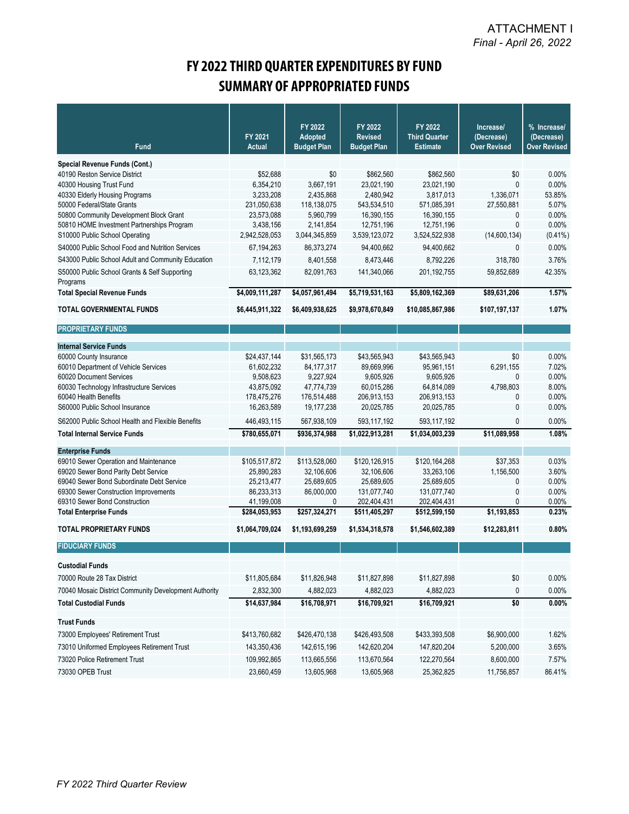## **FY 2022 THIRD QUARTER EXPENDITURES BY FUND SUMMARY OF APPROPRIATED FUNDS**

|                                                       |                          | FY 2022                       | FY 2022                              | FY 2022                                 | Increase/                         | % Increase/                       |
|-------------------------------------------------------|--------------------------|-------------------------------|--------------------------------------|-----------------------------------------|-----------------------------------|-----------------------------------|
| <b>Fund</b>                                           | FY 2021<br><b>Actual</b> | Adopted<br><b>Budget Plan</b> | <b>Revised</b><br><b>Budget Plan</b> | <b>Third Quarter</b><br><b>Estimate</b> | (Decrease)<br><b>Over Revised</b> | (Decrease)<br><b>Over Revised</b> |
| Special Revenue Funds (Cont.)                         |                          |                               |                                      |                                         |                                   |                                   |
| 40190 Reston Service District                         | \$52,688                 | \$0                           | \$862,560                            | \$862,560                               | \$0                               | 0.00%                             |
| 40300 Housing Trust Fund                              | 6,354,210                | 3,667,191                     | 23,021,190                           | 23,021,190                              | $\mathbf{0}$                      | 0.00%                             |
| 40330 Elderly Housing Programs                        | 3,233,208                | 2,435,868                     | 2,480,942                            | 3,817,013                               | 1,336,071                         | 53.85%                            |
| 50000 Federal/State Grants                            | 231,050,638              | 118,138,075                   | 543,534,510                          | 571,085,391                             | 27,550,881                        | 5.07%                             |
| 50800 Community Development Block Grant               | 23,573,088               | 5,960,799                     | 16,390,155                           | 16,390,155                              | 0                                 | 0.00%                             |
| 50810 HOME Investment Partnerships Program            | 3,438,156                | 2,141,854                     | 12,751,196                           | 12,751,196                              | $\mathbf{0}$                      | 0.00%                             |
| S10000 Public School Operating                        | 2,942,528,053            | 3,044,345,859                 | 3,539,123,072                        | 3,524,522,938                           | (14,600,134)                      | $(0.41\%)$                        |
| S40000 Public School Food and Nutrition Services      | 67,194,263               | 86,373,274                    | 94,400,662                           | 94,400,662                              | 0                                 | 0.00%                             |
| S43000 Public School Adult and Community Education    | 7,112,179                | 8,401,558                     | 8,473,446                            | 8,792,226                               | 318,780                           | 3.76%                             |
| S50000 Public School Grants & Self Supporting         | 63,123,362               | 82,091,763                    | 141,340,066                          | 201,192,755                             | 59,852,689                        | 42.35%                            |
| Programs                                              |                          |                               |                                      |                                         |                                   |                                   |
| <b>Total Special Revenue Funds</b>                    | \$4,009,111,287          | \$4,057,961,494               | \$5,719,531,163                      | \$5,809,162,369                         | \$89,631,206                      | 1.57%                             |
| <b>TOTAL GOVERNMENTAL FUNDS</b>                       | \$6,445,911,322          | \$6,409,938,625               | \$9,978,670,849                      | \$10,085,867,986                        | \$107,197,137                     | 1.07%                             |
| <b>PROPRIETARY FUNDS</b>                              |                          |                               |                                      |                                         |                                   |                                   |
| <b>Internal Service Funds</b>                         |                          |                               |                                      |                                         |                                   |                                   |
| 60000 County Insurance                                | \$24,437,144             | \$31,565,173                  | \$43,565,943                         | \$43,565,943                            | \$0                               | 0.00%                             |
| 60010 Department of Vehicle Services                  | 61,602,232               | 84, 177, 317                  | 89,669,996                           | 95.961.151                              | 6,291,155                         | 7.02%                             |
| 60020 Document Services                               | 9,508,623                | 9,227,924                     | 9,605,926                            | 9,605,926                               | 0                                 | 0.00%                             |
| 60030 Technology Infrastructure Services              | 43,875,092               | 47,774,739                    | 60,015,286                           | 64,814,089                              | 4,798,803                         | 8.00%                             |
| 60040 Health Benefits                                 | 178,475,276              | 176,514,488                   | 206,913,153                          | 206,913,153                             | 0                                 | 0.00%                             |
| S60000 Public School Insurance                        | 16,263,589               | 19,177,238                    | 20,025,785                           | 20,025,785                              | 0                                 | 0.00%                             |
| S62000 Public School Health and Flexible Benefits     | 446,493,115              | 567,938,109                   | 593,117,192                          | 593,117,192                             | 0                                 | 0.00%                             |
| <b>Total Internal Service Funds</b>                   | \$780,655,071            | \$936,374,988                 | \$1,022,913,281                      | \$1,034,003,239                         | \$11,089,958                      | 1.08%                             |
| <b>Enterprise Funds</b>                               |                          |                               |                                      |                                         |                                   |                                   |
| 69010 Sewer Operation and Maintenance                 | \$105,517,872            | \$113,528,060                 | \$120,126,915                        | \$120,164,268                           | \$37,353                          | 0.03%                             |
| 69020 Sewer Bond Parity Debt Service                  | 25,890,283               | 32,106,606                    | 32,106,606                           | 33,263,106                              | 1,156,500                         | 3.60%                             |
| 69040 Sewer Bond Subordinate Debt Service             | 25,213,477               | 25,689,605                    | 25,689,605                           | 25,689,605                              | 0                                 | 0.00%                             |
| 69300 Sewer Construction Improvements                 | 86,233,313               | 86,000,000                    | 131,077,740                          | 131,077,740                             | 0                                 | 0.00%                             |
| 69310 Sewer Bond Construction                         | 41,199,008               | 0                             | 202,404,431                          | 202,404,431                             | 0                                 | 0.00%                             |
| <b>Total Enterprise Funds</b>                         | \$284,053,953            | \$257,324,271                 | \$511,405,297                        | \$512,599,150                           | \$1,193,853                       | 0.23%                             |
| <b>TOTAL PROPRIETARY FUNDS</b>                        | \$1,064,709,024          | \$1,193,699,259               | \$1,534,318,578                      | \$1,546,602,389                         | \$12,283,811                      | 0.80%                             |
| <b>FIDUCIARY FUNDS</b>                                |                          |                               |                                      |                                         |                                   |                                   |
| <b>Custodial Funds</b>                                |                          |                               |                                      |                                         |                                   |                                   |
| 70000 Route 28 Tax District                           | \$11,805,684             | \$11,826,948                  | \$11,827,898                         | \$11,827,898                            | \$0                               | 0.00%                             |
| 70040 Mosaic District Community Development Authority | 2,832,300                | 4,882,023                     | 4,882,023                            | 4,882,023                               | 0                                 | 0.00%                             |
| <b>Total Custodial Funds</b>                          | \$14,637,984             | \$16,708,971                  | \$16,709,921                         | \$16,709,921                            | \$0                               | $0.00\%$                          |
| <b>Trust Funds</b>                                    |                          |                               |                                      |                                         |                                   |                                   |
| 73000 Employees' Retirement Trust                     | \$413,760,682            | \$426,470,138                 | \$426,493,508                        | \$433,393,508                           | \$6,900,000                       | 1.62%                             |
| 73010 Uniformed Employees Retirement Trust            | 143,350,436              | 142,615,196                   | 142,620,204                          | 147,820,204                             | 5,200,000                         | 3.65%                             |
| 73020 Police Retirement Trust                         | 109,992,865              | 113,665,556                   | 113,670,564                          | 122,270,564                             | 8,600,000                         | 7.57%                             |
| 73030 OPEB Trust                                      | 23,660,459               | 13,605,968                    | 13,605,968                           | 25,362,825                              | 11,756,857                        | 86.41%                            |
|                                                       |                          |                               |                                      |                                         |                                   |                                   |